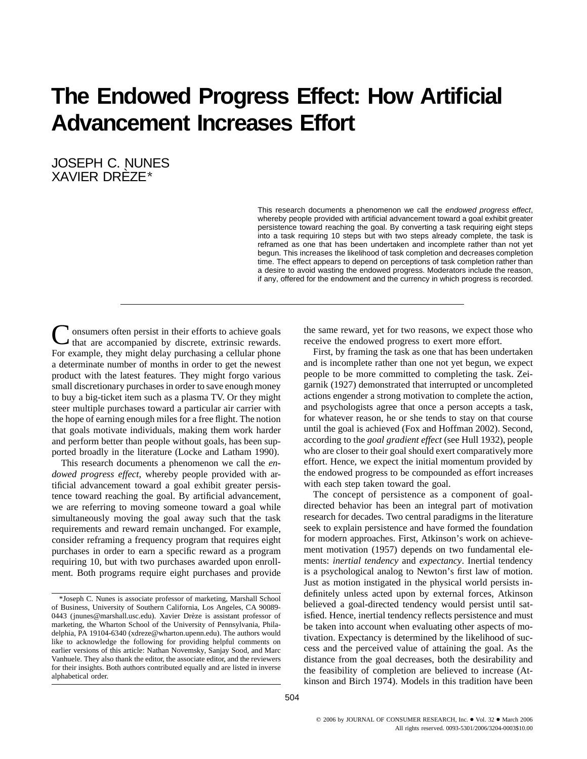# **The Endowed Progress Effect: How Artificial Advancement Increases Effort**

JOSEPH C. NUNES XAVIER DREZE\*

> This research documents a phenomenon we call the endowed progress effect, whereby people provided with artificial advancement toward a goal exhibit greater persistence toward reaching the goal. By converting a task requiring eight steps into a task requiring 10 steps but with two steps already complete, the task is reframed as one that has been undertaken and incomplete rather than not yet begun. This increases the likelihood of task completion and decreases completion time. The effect appears to depend on perceptions of task completion rather than a desire to avoid wasting the endowed progress. Moderators include the reason, if any, offered for the endowment and the currency in which progress is recorded.

onsumers often persist in their efforts to achieve goals that are accompanied by discrete, extrinsic rewards. For example, they might delay purchasing a cellular phone a determinate number of months in order to get the newest product with the latest features. They might forgo various small discretionary purchases in order to save enough money to buy a big-ticket item such as a plasma TV. Or they might steer multiple purchases toward a particular air carrier with the hope of earning enough miles for a free flight. The notion that goals motivate individuals, making them work harder and perform better than people without goals, has been supported broadly in the literature (Locke and Latham 1990).

This research documents a phenomenon we call the *endowed progress effect*, whereby people provided with artificial advancement toward a goal exhibit greater persistence toward reaching the goal. By artificial advancement, we are referring to moving someone toward a goal while simultaneously moving the goal away such that the task requirements and reward remain unchanged. For example, consider reframing a frequency program that requires eight purchases in order to earn a specific reward as a program requiring 10, but with two purchases awarded upon enrollment. Both programs require eight purchases and provide the same reward, yet for two reasons, we expect those who receive the endowed progress to exert more effort.

First, by framing the task as one that has been undertaken and is incomplete rather than one not yet begun, we expect people to be more committed to completing the task. Zeigarnik (1927) demonstrated that interrupted or uncompleted actions engender a strong motivation to complete the action, and psychologists agree that once a person accepts a task, for whatever reason, he or she tends to stay on that course until the goal is achieved (Fox and Hoffman 2002). Second, according to the *goal gradient effect* (see Hull 1932), people who are closer to their goal should exert comparatively more effort. Hence, we expect the initial momentum provided by the endowed progress to be compounded as effort increases with each step taken toward the goal.

The concept of persistence as a component of goaldirected behavior has been an integral part of motivation research for decades. Two central paradigms in the literature seek to explain persistence and have formed the foundation for modern approaches. First, Atkinson's work on achievement motivation (1957) depends on two fundamental elements: *inertial tendency* and *expectancy*. Inertial tendency is a psychological analog to Newton's first law of motion. Just as motion instigated in the physical world persists indefinitely unless acted upon by external forces, Atkinson believed a goal-directed tendency would persist until satisfied. Hence, inertial tendency reflects persistence and must be taken into account when evaluating other aspects of motivation. Expectancy is determined by the likelihood of success and the perceived value of attaining the goal. As the distance from the goal decreases, both the desirability and the feasibility of completion are believed to increase (Atkinson and Birch 1974). Models in this tradition have been

<sup>\*</sup>Joseph C. Nunes is associate professor of marketing, Marshall School of Business, University of Southern California, Los Angeles, CA 90089- 0443 (jnunes@marshall.usc.edu). Xavier Drèze is assistant professor of marketing, the Wharton School of the University of Pennsylvania, Philadelphia, PA 19104-6340 (xdreze@wharton.upenn.edu). The authors would like to acknowledge the following for providing helpful comments on earlier versions of this article: Nathan Novemsky, Sanjay Sood, and Marc Vanhuele. They also thank the editor, the associate editor, and the reviewers for their insights. Both authors contributed equally and are listed in inverse alphabetical order.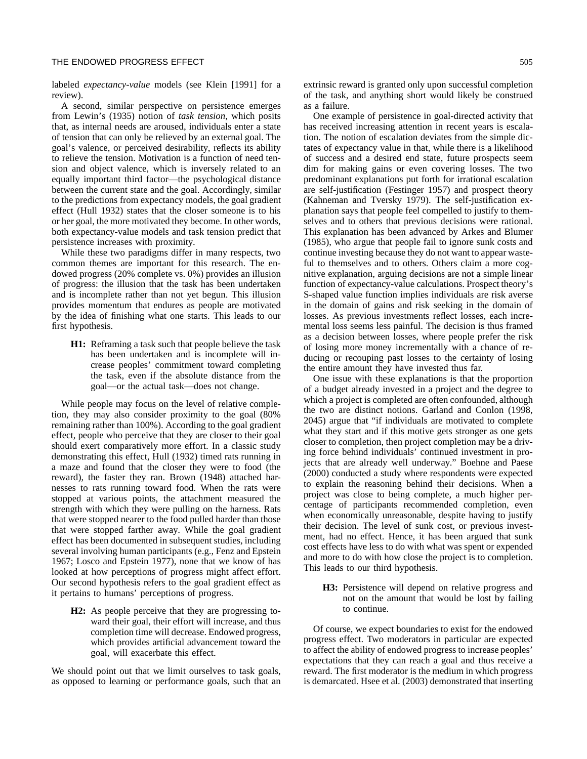labeled *expectancy-value* models (see Klein [1991] for a review).

A second, similar perspective on persistence emerges from Lewin's (1935) notion of *task tension*, which posits that, as internal needs are aroused, individuals enter a state of tension that can only be relieved by an external goal. The goal's valence, or perceived desirability, reflects its ability to relieve the tension. Motivation is a function of need tension and object valence, which is inversely related to an equally important third factor—the psychological distance between the current state and the goal. Accordingly, similar to the predictions from expectancy models, the goal gradient effect (Hull 1932) states that the closer someone is to his or her goal, the more motivated they become. In other words, both expectancy-value models and task tension predict that persistence increases with proximity.

While these two paradigms differ in many respects, two common themes are important for this research. The endowed progress (20% complete vs. 0%) provides an illusion of progress: the illusion that the task has been undertaken and is incomplete rather than not yet begun. This illusion provides momentum that endures as people are motivated by the idea of finishing what one starts. This leads to our first hypothesis.

**H1:** Reframing a task such that people believe the task has been undertaken and is incomplete will increase peoples' commitment toward completing the task, even if the absolute distance from the goal—or the actual task—does not change.

While people may focus on the level of relative completion, they may also consider proximity to the goal (80% remaining rather than 100%). According to the goal gradient effect, people who perceive that they are closer to their goal should exert comparatively more effort. In a classic study demonstrating this effect, Hull (1932) timed rats running in a maze and found that the closer they were to food (the reward), the faster they ran. Brown (1948) attached harnesses to rats running toward food. When the rats were stopped at various points, the attachment measured the strength with which they were pulling on the harness. Rats that were stopped nearer to the food pulled harder than those that were stopped farther away. While the goal gradient effect has been documented in subsequent studies, including several involving human participants (e.g., Fenz and Epstein 1967; Losco and Epstein 1977), none that we know of has looked at how perceptions of progress might affect effort. Our second hypothesis refers to the goal gradient effect as it pertains to humans' perceptions of progress.

**H2:** As people perceive that they are progressing toward their goal, their effort will increase, and thus completion time will decrease. Endowed progress, which provides artificial advancement toward the goal, will exacerbate this effect.

We should point out that we limit ourselves to task goals, as opposed to learning or performance goals, such that an extrinsic reward is granted only upon successful completion of the task, and anything short would likely be construed as a failure.

One example of persistence in goal-directed activity that has received increasing attention in recent years is escalation. The notion of escalation deviates from the simple dictates of expectancy value in that, while there is a likelihood of success and a desired end state, future prospects seem dim for making gains or even covering losses. The two predominant explanations put forth for irrational escalation are self-justification (Festinger 1957) and prospect theory (Kahneman and Tversky 1979). The self-justification explanation says that people feel compelled to justify to themselves and to others that previous decisions were rational. This explanation has been advanced by Arkes and Blumer (1985), who argue that people fail to ignore sunk costs and continue investing because they do not want to appear wasteful to themselves and to others. Others claim a more cognitive explanation, arguing decisions are not a simple linear function of expectancy-value calculations. Prospect theory's S-shaped value function implies individuals are risk averse in the domain of gains and risk seeking in the domain of losses. As previous investments reflect losses, each incremental loss seems less painful. The decision is thus framed as a decision between losses, where people prefer the risk of losing more money incrementally with a chance of reducing or recouping past losses to the certainty of losing the entire amount they have invested thus far.

One issue with these explanations is that the proportion of a budget already invested in a project and the degree to which a project is completed are often confounded, although the two are distinct notions. Garland and Conlon (1998, 2045) argue that "if individuals are motivated to complete what they start and if this motive gets stronger as one gets closer to completion, then project completion may be a driving force behind individuals' continued investment in projects that are already well underway." Boehne and Paese (2000) conducted a study where respondents were expected to explain the reasoning behind their decisions. When a project was close to being complete, a much higher percentage of participants recommended completion, even when economically unreasonable, despite having to justify their decision. The level of sunk cost, or previous investment, had no effect. Hence, it has been argued that sunk cost effects have less to do with what was spent or expended and more to do with how close the project is to completion. This leads to our third hypothesis.

**H3:** Persistence will depend on relative progress and not on the amount that would be lost by failing to continue.

Of course, we expect boundaries to exist for the endowed progress effect. Two moderators in particular are expected to affect the ability of endowed progress to increase peoples' expectations that they can reach a goal and thus receive a reward. The first moderator is the medium in which progress is demarcated. Hsee et al. (2003) demonstrated that inserting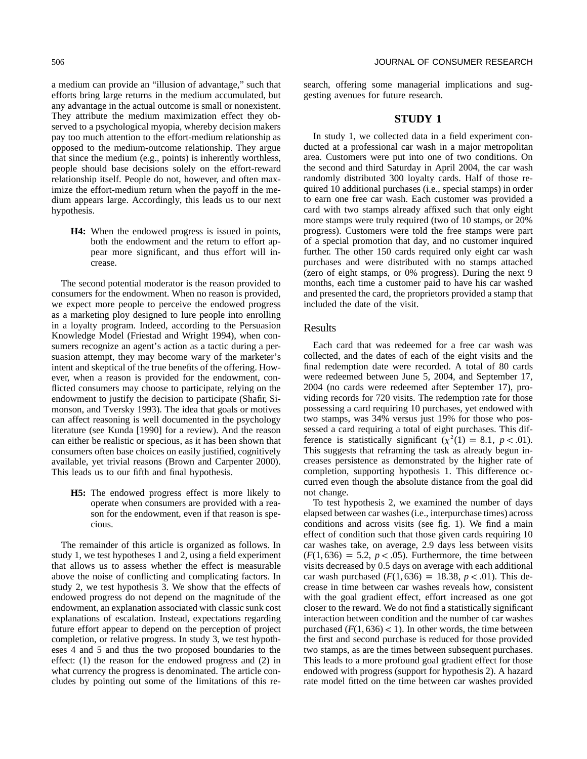a medium can provide an "illusion of advantage," such that efforts bring large returns in the medium accumulated, but any advantage in the actual outcome is small or nonexistent. They attribute the medium maximization effect they observed to a psychological myopia, whereby decision makers pay too much attention to the effort-medium relationship as opposed to the medium-outcome relationship. They argue that since the medium (e.g., points) is inherently worthless, people should base decisions solely on the effort-reward relationship itself. People do not, however, and often maximize the effort-medium return when the payoff in the medium appears large. Accordingly, this leads us to our next hypothesis.

**H4:** When the endowed progress is issued in points, both the endowment and the return to effort appear more significant, and thus effort will increase.

The second potential moderator is the reason provided to consumers for the endowment. When no reason is provided, we expect more people to perceive the endowed progress as a marketing ploy designed to lure people into enrolling in a loyalty program. Indeed, according to the Persuasion Knowledge Model (Friestad and Wright 1994), when consumers recognize an agent's action as a tactic during a persuasion attempt, they may become wary of the marketer's intent and skeptical of the true benefits of the offering. However, when a reason is provided for the endowment, conflicted consumers may choose to participate, relying on the endowment to justify the decision to participate (Shafir, Simonson, and Tversky 1993). The idea that goals or motives can affect reasoning is well documented in the psychology literature (see Kunda [1990] for a review). And the reason can either be realistic or specious, as it has been shown that consumers often base choices on easily justified, cognitively available, yet trivial reasons (Brown and Carpenter 2000). This leads us to our fifth and final hypothesis.

**H5:** The endowed progress effect is more likely to operate when consumers are provided with a reason for the endowment, even if that reason is specious.

The remainder of this article is organized as follows. In study 1, we test hypotheses 1 and 2, using a field experiment that allows us to assess whether the effect is measurable above the noise of conflicting and complicating factors. In study 2, we test hypothesis 3. We show that the effects of endowed progress do not depend on the magnitude of the endowment, an explanation associated with classic sunk cost explanations of escalation. Instead, expectations regarding future effort appear to depend on the perception of project completion, or relative progress. In study 3, we test hypotheses 4 and 5 and thus the two proposed boundaries to the effect: (1) the reason for the endowed progress and (2) in what currency the progress is denominated. The article concludes by pointing out some of the limitations of this research, offering some managerial implications and suggesting avenues for future research.

#### **STUDY 1**

In study 1, we collected data in a field experiment conducted at a professional car wash in a major metropolitan area. Customers were put into one of two conditions. On the second and third Saturday in April 2004, the car wash randomly distributed 300 loyalty cards. Half of those required 10 additional purchases (i.e., special stamps) in order to earn one free car wash. Each customer was provided a card with two stamps already affixed such that only eight more stamps were truly required (two of 10 stamps, or 20% progress). Customers were told the free stamps were part of a special promotion that day, and no customer inquired further. The other 150 cards required only eight car wash purchases and were distributed with no stamps attached (zero of eight stamps, or 0% progress). During the next 9 months, each time a customer paid to have his car washed and presented the card, the proprietors provided a stamp that included the date of the visit.

#### Results

Each card that was redeemed for a free car wash was collected, and the dates of each of the eight visits and the final redemption date were recorded. A total of 80 cards were redeemed between June 5, 2004, and September 17, 2004 (no cards were redeemed after September 17), providing records for 720 visits. The redemption rate for those possessing a card requiring 10 purchases, yet endowed with two stamps, was 34% versus just 19% for those who possessed a card requiring a total of eight purchases. This difference is statistically significant  $(x^2(1) = 8.1, p < .01)$ . This suggests that reframing the task as already begun increases persistence as demonstrated by the higher rate of completion, supporting hypothesis 1. This difference occurred even though the absolute distance from the goal did not change.

To test hypothesis 2, we examined the number of days elapsed between car washes (i.e., interpurchase times) across conditions and across visits (see fig. 1). We find a main effect of condition such that those given cards requiring 10 car washes take, on average, 2.9 days less between visits  $(F(1, 636) = 5.2, p < .05)$ . Furthermore, the time between visits decreased by 0.5 days on average with each additional car wash purchased  $(F(1, 636) = 18.38, p < .01)$ . This decrease in time between car washes reveals how, consistent with the goal gradient effect, effort increased as one got closer to the reward. We do not find a statistically significant interaction between condition and the number of car washes purchased  $(F(1, 636) < 1)$ . In other words, the time between the first and second purchase is reduced for those provided two stamps, as are the times between subsequent purchases. This leads to a more profound goal gradient effect for those endowed with progress (support for hypothesis 2). A hazard rate model fitted on the time between car washes provided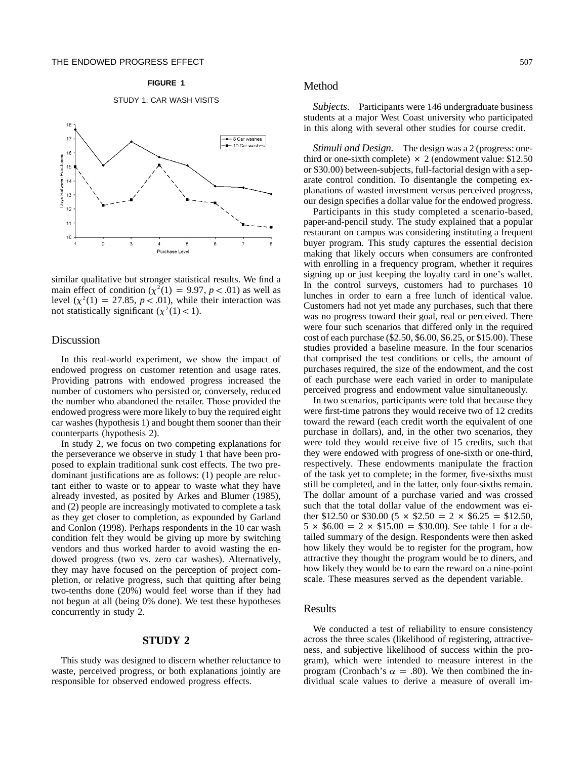#### **FIGURE 1**

#### STUDY 1: CAR WASH VISITS



similar qualitative but stronger statistical results. We find a main effect of condition  $(\chi^2(1) = 9.97, p < .01)$  as well as level  $(\chi^2(1) = 27.85, p < .01)$ , while their interaction was not statistically significant  $(\chi^2(1) < 1)$ .

# Discussion

In this real-world experiment, we show the impact of endowed progress on customer retention and usage rates. Providing patrons with endowed progress increased the number of customers who persisted or, conversely, reduced the number who abandoned the retailer. Those provided the endowed progress were more likely to buy the required eight car washes (hypothesis 1) and bought them sooner than their counterparts (hypothesis 2).

In study 2, we focus on two competing explanations for the perseverance we observe in study 1 that have been proposed to explain traditional sunk cost effects. The two predominant justifications are as follows: (1) people are reluctant either to waste or to appear to waste what they have already invested, as posited by Arkes and Blumer (1985), and (2) people are increasingly motivated to complete a task as they get closer to completion, as expounded by Garland and Conlon (1998). Perhaps respondents in the 10 car wash condition felt they would be giving up more by switching vendors and thus worked harder to avoid wasting the endowed progress (two vs. zero car washes). Alternatively, they may have focused on the perception of project completion, or relative progress, such that quitting after being two-tenths done (20%) would feel worse than if they had not begun at all (being 0% done). We test these hypotheses concurrently in study 2.

#### **STUDY 2**

This study was designed to discern whether reluctance to waste, perceived progress, or both explanations jointly are responsible for observed endowed progress effects.

#### Method

*Subjects.* Participants were 146 undergraduate business students at a major West Coast university who participated in this along with several other studies for course credit.

*Stimuli and Design.* The design was a 2 (progress: onethird or one-sixth complete)  $\times$  2 (endowment value: \$12.50 or \$30.00) between-subjects, full-factorial design with a separate control condition. To disentangle the competing explanations of wasted investment versus perceived progress, our design specifies a dollar value for the endowed progress.

Participants in this study completed a scenario-based, paper-and-pencil study. The study explained that a popular restaurant on campus was considering instituting a frequent buyer program. This study captures the essential decision making that likely occurs when consumers are confronted with enrolling in a frequency program, whether it requires signing up or just keeping the loyalty card in one's wallet. In the control surveys, customers had to purchases 10 lunches in order to earn a free lunch of identical value. Customers had not yet made any purchases, such that there was no progress toward their goal, real or perceived. There were four such scenarios that differed only in the required cost of each purchase (\$2.50, \$6.00, \$6.25, or \$15.00). These studies provided a baseline measure. In the four scenarios that comprised the test conditions or cells, the amount of purchases required, the size of the endowment, and the cost of each purchase were each varied in order to manipulate perceived progress and endowment value simultaneously.

In two scenarios, participants were told that because they were first-time patrons they would receive two of 12 credits toward the reward (each credit worth the equivalent of one purchase in dollars), and, in the other two scenarios, they were told they would receive five of 15 credits, such that they were endowed with progress of one-sixth or one-third, respectively. These endowments manipulate the fraction of the task yet to complete; in the former, five-sixths must still be completed, and in the latter, only four-sixths remain. The dollar amount of a purchase varied and was crossed such that the total dollar value of the endowment was either \$12.50 or \$30.00 (5  $\times$  \$2.50 = 2  $\times$  \$6.25 = \$12.50,  $5 \times $6.00 = 2 \times $15.00 = $30.00$ . See table 1 for a detailed summary of the design. Respondents were then asked how likely they would be to register for the program, how attractive they thought the program would be to diners, and how likely they would be to earn the reward on a nine-point scale. These measures served as the dependent variable.

# Results

We conducted a test of reliability to ensure consistency across the three scales (likelihood of registering, attractiveness, and subjective likelihood of success within the program), which were intended to measure interest in the program (Cronbach's  $\alpha = .80$ ). We then combined the individual scale values to derive a measure of overall im-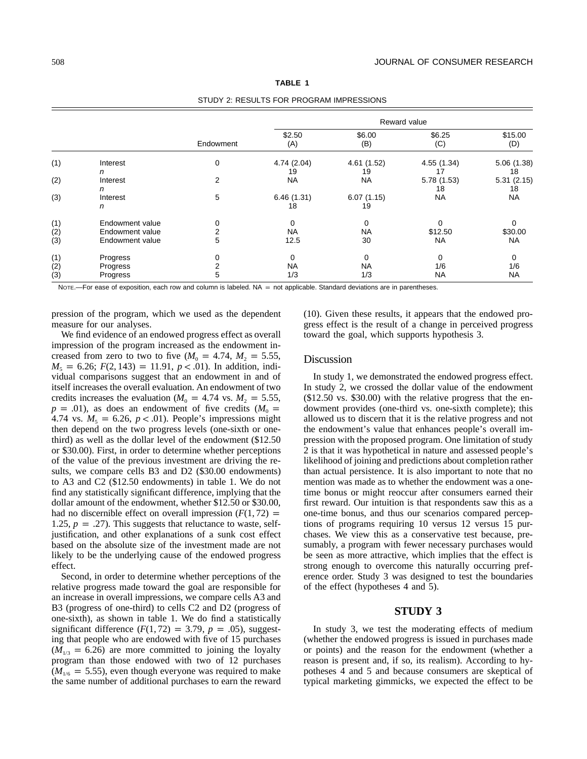|                |                 | STUDT 2. RESULTS FUR PRUGRAIN INFRESSIONS |                   |                  |                   |                  |  |
|----------------|-----------------|-------------------------------------------|-------------------|------------------|-------------------|------------------|--|
|                |                 | Endowment                                 | Reward value      |                  |                   |                  |  |
|                |                 |                                           | \$2.50<br>(A)     | \$6.00<br>(B)    | \$6.25<br>(C)     | \$15.00<br>(D)   |  |
| (1)            | Interest<br>n   | 0                                         | 4.74 (2.04)<br>19 | 4.61(1.52)<br>19 | 4.55 (1.34)<br>17 | 5.06(1.38)<br>18 |  |
| (2)            | Interest<br>n   | 2                                         | NA                | NA               | 5.78 (1.53)<br>18 | 5.31(2.15)<br>18 |  |
| (3)            | Interest<br>n   | 5                                         | 6.46(1.31)<br>18  | 6.07(1.15)<br>19 | <b>NA</b>         | NA               |  |
| (1)            | Endowment value | 0                                         | 0                 | 0                |                   |                  |  |
| $\binom{2}{3}$ | Endowment value | 2                                         | NA                | NA               | \$12.50           | \$30.00          |  |
|                | Endowment value | 5                                         | 12.5              | 30               | <b>NA</b>         | NA               |  |
| (1)            | Progress        |                                           | 0                 | $\Omega$         | 0                 | 0                |  |
| (2)            | Progress        |                                           | <b>NA</b>         | <b>NA</b>        | 1/6               | 1/6              |  |
| (3)            | Progress        | 5                                         | 1/3               | 1/3              | <b>NA</b>         | <b>NA</b>        |  |

**TABLE 1** STUDY 2: RESULTS FOR PROGRAM IMPRESSIONS

NOTE.-For ease of exposition, each row and column is labeled. NA = not applicable. Standard deviations are in parentheses.

pression of the program, which we used as the dependent measure for our analyses.

We find evidence of an endowed progress effect as overall impression of the program increased as the endowment increased from zero to two to five  $(M_0 = 4.74, M_2 = 5.55,$  $M_5 = 6.26$ ;  $F(2, 143) = 11.91$ ,  $p < .01$ ). In addition, individual comparisons suggest that an endowment in and of itself increases the overall evaluation. An endowment of two credits increases the evaluation ( $M_0 = 4.74$  vs.  $M_2 = 5.55$ ,  $p = .01$ ), as does an endowment of five credits ( $M<sub>0</sub>$  = 4.74 vs.  $M<sub>5</sub> = 6.26$ ,  $p < .01$ ). People's impressions might then depend on the two progress levels (one-sixth or onethird) as well as the dollar level of the endowment (\$12.50 or \$30.00). First, in order to determine whether perceptions of the value of the previous investment are driving the results, we compare cells B3 and D2 (\$30.00 endowments) to A3 and C2 (\$12.50 endowments) in table 1. We do not find any statistically significant difference, implying that the dollar amount of the endowment, whether \$12.50 or \$30.00, had no discernible effect on overall impression  $(F(1, 72) =$ 1.25,  $p = .27$ ). This suggests that reluctance to waste, selfjustification, and other explanations of a sunk cost effect based on the absolute size of the investment made are not likely to be the underlying cause of the endowed progress effect.

Second, in order to determine whether perceptions of the relative progress made toward the goal are responsible for an increase in overall impressions, we compare cells A3 and B3 (progress of one-third) to cells C2 and D2 (progress of one-sixth), as shown in table 1. We do find a statistically significant difference  $(F(1, 72) = 3.79, p = .05)$ , suggesting that people who are endowed with five of 15 purchases  $(M_{1/3} = 6.26)$  are more committed to joining the loyalty program than those endowed with two of 12 purchases  $(M<sub>1/6</sub> = 5.55)$ , even though everyone was required to make the same number of additional purchases to earn the reward (10). Given these results, it appears that the endowed progress effect is the result of a change in perceived progress toward the goal, which supports hypothesis 3.

#### Discussion

In study 1, we demonstrated the endowed progress effect. In study 2, we crossed the dollar value of the endowment (\$12.50 vs. \$30.00) with the relative progress that the endowment provides (one-third vs. one-sixth complete); this allowed us to discern that it is the relative progress and not the endowment's value that enhances people's overall impression with the proposed program. One limitation of study 2 is that it was hypothetical in nature and assessed people's likelihood of joining and predictions about completion rather than actual persistence. It is also important to note that no mention was made as to whether the endowment was a onetime bonus or might reoccur after consumers earned their first reward. Our intuition is that respondents saw this as a one-time bonus, and thus our scenarios compared perceptions of programs requiring 10 versus 12 versus 15 purchases. We view this as a conservative test because, presumably, a program with fewer necessary purchases would be seen as more attractive, which implies that the effect is strong enough to overcome this naturally occurring preference order. Study 3 was designed to test the boundaries of the effect (hypotheses 4 and 5).

# **STUDY 3**

In study 3, we test the moderating effects of medium (whether the endowed progress is issued in purchases made or points) and the reason for the endowment (whether a reason is present and, if so, its realism). According to hypotheses 4 and 5 and because consumers are skeptical of typical marketing gimmicks, we expected the effect to be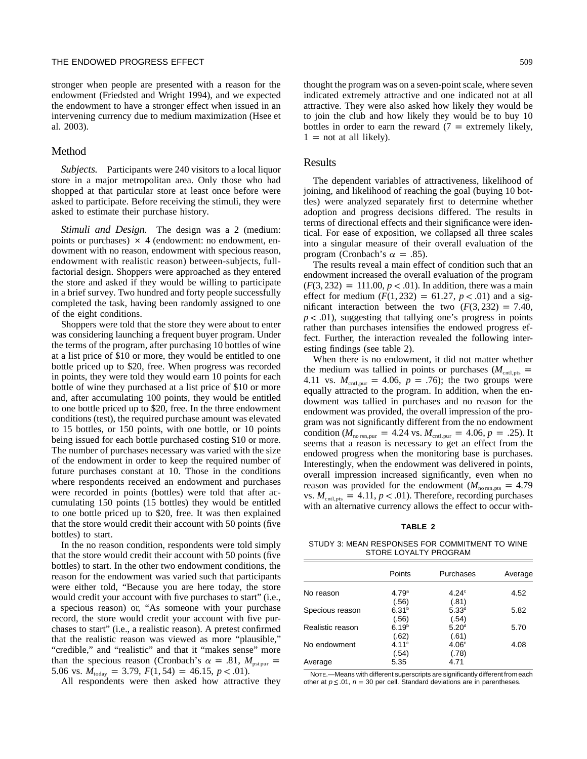stronger when people are presented with a reason for the endowment (Friedsted and Wright 1994), and we expected the endowment to have a stronger effect when issued in an intervening currency due to medium maximization (Hsee et al. 2003).

#### Method

*Subjects.* Participants were 240 visitors to a local liquor store in a major metropolitan area. Only those who had shopped at that particular store at least once before were asked to participate. Before receiving the stimuli, they were asked to estimate their purchase history.

*Stimuli and Design.* The design was a 2 (medium: points or purchases)  $\times$  4 (endowment: no endowment, endowment with no reason, endowment with specious reason, endowment with realistic reason) between-subjects, fullfactorial design. Shoppers were approached as they entered the store and asked if they would be willing to participate in a brief survey. Two hundred and forty people successfully completed the task, having been randomly assigned to one of the eight conditions.

Shoppers were told that the store they were about to enter was considering launching a frequent buyer program. Under the terms of the program, after purchasing 10 bottles of wine at a list price of \$10 or more, they would be entitled to one bottle priced up to \$20, free. When progress was recorded in points, they were told they would earn 10 points for each bottle of wine they purchased at a list price of \$10 or more and, after accumulating 100 points, they would be entitled to one bottle priced up to \$20, free. In the three endowment conditions (test), the required purchase amount was elevated to 15 bottles, or 150 points, with one bottle, or 10 points being issued for each bottle purchased costing \$10 or more. The number of purchases necessary was varied with the size of the endowment in order to keep the required number of future purchases constant at 10. Those in the conditions where respondents received an endowment and purchases were recorded in points (bottles) were told that after accumulating 150 points (15 bottles) they would be entitled to one bottle priced up to \$20, free. It was then explained that the store would credit their account with 50 points (five bottles) to start.

In the no reason condition, respondents were told simply that the store would credit their account with 50 points (five bottles) to start. In the other two endowment conditions, the reason for the endowment was varied such that participants were either told, "Because you are here today, the store would credit your account with five purchases to start" (i.e., a specious reason) or, "As someone with your purchase record, the store would credit your account with five purchases to start" (i.e., a realistic reason). A pretest confirmed that the realistic reason was viewed as more "plausible," "credible," and "realistic" and that it "makes sense" more than the specious reason (Cronbach's  $\alpha = .81$ ,  $M_{\text{pst pur}} =$ 5.06 vs.  $M_{\text{today}} = 3.79, F(1, 54) = 46.15, p < .01$ .

All respondents were then asked how attractive they

thought the program was on a seven-point scale, where seven indicated extremely attractive and one indicated not at all attractive. They were also asked how likely they would be to join the club and how likely they would be to buy 10 bottles in order to earn the reward  $(7 =$  extremely likely,  $1 =$  not at all likely).

## Results

The dependent variables of attractiveness, likelihood of joining, and likelihood of reaching the goal (buying 10 bottles) were analyzed separately first to determine whether adoption and progress decisions differed. The results in terms of directional effects and their significance were identical. For ease of exposition, we collapsed all three scales into a singular measure of their overall evaluation of the program (Cronbach's  $\alpha = .85$ ).

The results reveal a main effect of condition such that an endowment increased the overall evaluation of the program  $(F(3, 232) = 111.00, p < .01)$ . In addition, there was a main effect for medium  $(F(1, 232) = 61.27, p < .01)$  and a significant interaction between the two  $(F(3, 232) = 7.40)$ ,  $p < .01$ ), suggesting that tallying one's progress in points rather than purchases intensifies the endowed progress effect. Further, the interaction revealed the following interesting findings (see table 2).

When there is no endowment, it did not matter whether the medium was tallied in points or purchases  $(M<sub>cntl,pts</sub>)$ 4.11 vs.  $M_{\text{cnt, pur}} = 4.06, p = .76$ ; the two groups were equally attracted to the program. In addition, when the endowment was tallied in purchases and no reason for the endowment was provided, the overall impression of the program was not significantly different from the no endowment condition ( $M_{\text{no rsn, pur}} = 4.24$  *vs.*  $M_{\text{cnt, pur}} = 4.06, p = .25$ ). It seems that a reason is necessary to get an effect from the endowed progress when the monitoring base is purchases. Interestingly, when the endowment was delivered in points, overall impression increased significantly, even when no reason was provided for the endowment ( $M_{\text{no rsn, pts}} = 4.79$ vs.  $M_{\text{cnt,pts}} = 4.11, p < .01$ . Therefore, recording purchases with an alternative currency allows the effect to occur with-

# **TABLE 2**

STUDY 3: MEAN RESPONSES FOR COMMITMENT TO WINE STORE LOYALTY PROGRAM

|                  | Points            | Purchases         | Average |
|------------------|-------------------|-------------------|---------|
| No reason        | 4.79 <sup>a</sup> | $4.24^\circ$      | 4.52    |
|                  | (.56)             | (.81)             |         |
| Specious reason  | 6.31 <sup>b</sup> | $5.33^d$          | 5.82    |
|                  | (.56)             | (.54)             |         |
| Realistic reason | 6.19 <sup>b</sup> | 5.20 <sup>d</sup> | 5.70    |
|                  | (.62)             | (.61)             |         |
| No endowment     | 4.11c             | 4.06 <sup>c</sup> | 4.08    |
|                  | (.54)             | (.78)             |         |
| Average          | 5.35              | 4.71              |         |

NOTE.—Means with different superscripts are significantly different fromeach other at  $p \le 0.01$ ,  $n = 30$  per cell. Standard deviations are in parentheses.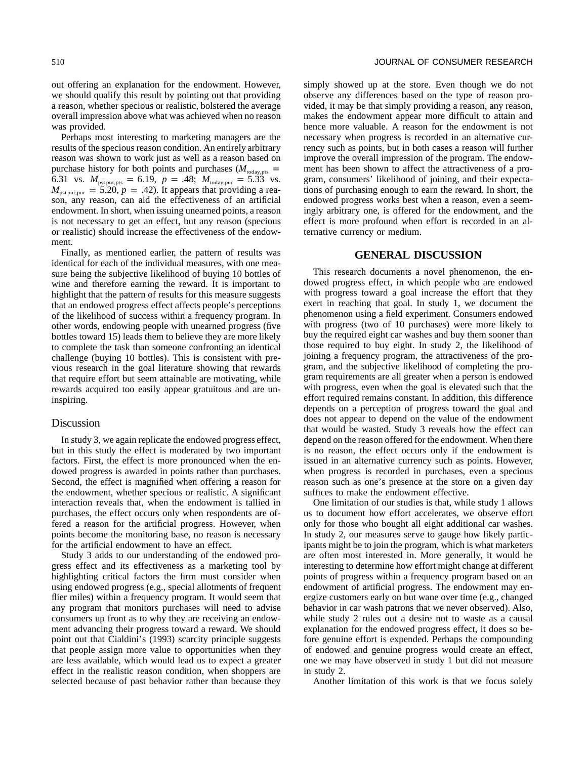out offering an explanation for the endowment. However, we should qualify this result by pointing out that providing a reason, whether specious or realistic, bolstered the average overall impression above what was achieved when no reason was provided.

Perhaps most interesting to marketing managers are the results of the specious reason condition. An entirely arbitrary reason was shown to work just as well as a reason based on purchase history for both points and purchases ( $M_{\text{today,pts}} =$ 6.31 vs.  $M_{\text{pst pur,pts}} = 6.19, p = .48, M_{\text{today,pur}} = 5.33 \text{ vs.}$  $M_{\text{pstpur,pur}} = 5.20, p = .42$ ). It appears that providing a reason, any reason, can aid the effectiveness of an artificial endowment. In short, when issuing unearned points, a reason is not necessary to get an effect, but any reason (specious or realistic) should increase the effectiveness of the endowment.

Finally, as mentioned earlier, the pattern of results was identical for each of the individual measures, with one measure being the subjective likelihood of buying 10 bottles of wine and therefore earning the reward. It is important to highlight that the pattern of results for this measure suggests that an endowed progress effect affects people's perceptions of the likelihood of success within a frequency program. In other words, endowing people with unearned progress (five bottles toward 15) leads them to believe they are more likely to complete the task than someone confronting an identical challenge (buying 10 bottles). This is consistent with previous research in the goal literature showing that rewards that require effort but seem attainable are motivating, while rewards acquired too easily appear gratuitous and are uninspiring.

#### **Discussion**

In study 3, we again replicate the endowed progress effect, but in this study the effect is moderated by two important factors. First, the effect is more pronounced when the endowed progress is awarded in points rather than purchases. Second, the effect is magnified when offering a reason for the endowment, whether specious or realistic. A significant interaction reveals that, when the endowment is tallied in purchases, the effect occurs only when respondents are offered a reason for the artificial progress. However, when points become the monitoring base, no reason is necessary for the artificial endowment to have an effect.

Study 3 adds to our understanding of the endowed progress effect and its effectiveness as a marketing tool by highlighting critical factors the firm must consider when using endowed progress (e.g., special allotments of frequent flier miles) within a frequency program. It would seem that any program that monitors purchases will need to advise consumers up front as to why they are receiving an endowment advancing their progress toward a reward. We should point out that Cialdini's (1993) scarcity principle suggests that people assign more value to opportunities when they are less available, which would lead us to expect a greater effect in the realistic reason condition, when shoppers are selected because of past behavior rather than because they simply showed up at the store. Even though we do not observe any differences based on the type of reason provided, it may be that simply providing a reason, any reason, makes the endowment appear more difficult to attain and hence more valuable. A reason for the endowment is not necessary when progress is recorded in an alternative currency such as points, but in both cases a reason will further improve the overall impression of the program. The endowment has been shown to affect the attractiveness of a program, consumers' likelihood of joining, and their expectations of purchasing enough to earn the reward. In short, the endowed progress works best when a reason, even a seemingly arbitrary one, is offered for the endowment, and the effect is more profound when effort is recorded in an alternative currency or medium.

## **GENERAL DISCUSSION**

This research documents a novel phenomenon, the endowed progress effect, in which people who are endowed with progress toward a goal increase the effort that they exert in reaching that goal. In study 1, we document the phenomenon using a field experiment. Consumers endowed with progress (two of 10 purchases) were more likely to buy the required eight car washes and buy them sooner than those required to buy eight. In study 2, the likelihood of joining a frequency program, the attractiveness of the program, and the subjective likelihood of completing the program requirements are all greater when a person is endowed with progress, even when the goal is elevated such that the effort required remains constant. In addition, this difference depends on a perception of progress toward the goal and does not appear to depend on the value of the endowment that would be wasted. Study 3 reveals how the effect can depend on the reason offered for the endowment. When there is no reason, the effect occurs only if the endowment is issued in an alternative currency such as points. However, when progress is recorded in purchases, even a specious reason such as one's presence at the store on a given day suffices to make the endowment effective.

One limitation of our studies is that, while study 1 allows us to document how effort accelerates, we observe effort only for those who bought all eight additional car washes. In study 2, our measures serve to gauge how likely participants might be to join the program, which is what marketers are often most interested in. More generally, it would be interesting to determine how effort might change at different points of progress within a frequency program based on an endowment of artificial progress. The endowment may energize customers early on but wane over time (e.g., changed behavior in car wash patrons that we never observed). Also, while study 2 rules out a desire not to waste as a causal explanation for the endowed progress effect, it does so before genuine effort is expended. Perhaps the compounding of endowed and genuine progress would create an effect, one we may have observed in study 1 but did not measure in study 2.

Another limitation of this work is that we focus solely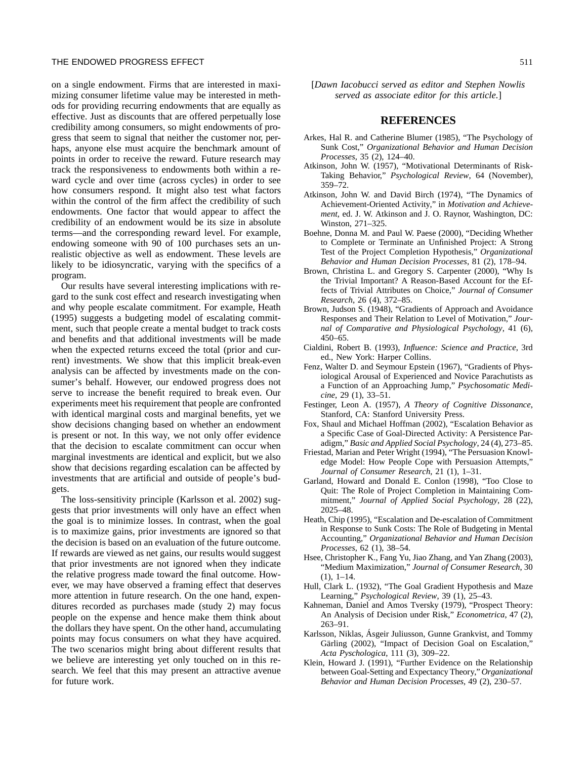on a single endowment. Firms that are interested in maximizing consumer lifetime value may be interested in methods for providing recurring endowments that are equally as effective. Just as discounts that are offered perpetually lose credibility among consumers, so might endowments of progress that seem to signal that neither the customer nor, perhaps, anyone else must acquire the benchmark amount of points in order to receive the reward. Future research may track the responsiveness to endowments both within a reward cycle and over time (across cycles) in order to see how consumers respond. It might also test what factors within the control of the firm affect the credibility of such endowments. One factor that would appear to affect the credibility of an endowment would be its size in absolute terms—and the corresponding reward level. For example, endowing someone with 90 of 100 purchases sets an unrealistic objective as well as endowment. These levels are likely to be idiosyncratic, varying with the specifics of a program.

Our results have several interesting implications with regard to the sunk cost effect and research investigating when and why people escalate commitment. For example, Heath (1995) suggests a budgeting model of escalating commitment, such that people create a mental budget to track costs and benefits and that additional investments will be made when the expected returns exceed the total (prior and current) investments. We show that this implicit break-even analysis can be affected by investments made on the consumer's behalf. However, our endowed progress does not serve to increase the benefit required to break even. Our experiments meet his requirement that people are confronted with identical marginal costs and marginal benefits, yet we show decisions changing based on whether an endowment is present or not. In this way, we not only offer evidence that the decision to escalate commitment can occur when marginal investments are identical and explicit, but we also show that decisions regarding escalation can be affected by investments that are artificial and outside of people's budgets.

The loss-sensitivity principle (Karlsson et al. 2002) suggests that prior investments will only have an effect when the goal is to minimize losses. In contrast, when the goal is to maximize gains, prior investments are ignored so that the decision is based on an evaluation of the future outcome. If rewards are viewed as net gains, our results would suggest that prior investments are not ignored when they indicate the relative progress made toward the final outcome. However, we may have observed a framing effect that deserves more attention in future research. On the one hand, expenditures recorded as purchases made (study 2) may focus people on the expense and hence make them think about the dollars they have spent. On the other hand, accumulating points may focus consumers on what they have acquired. The two scenarios might bring about different results that we believe are interesting yet only touched on in this research. We feel that this may present an attractive avenue for future work.

[*Dawn Iacobucci served as editor and Stephen Nowlis served as associate editor for this article.*]

# **REFERENCES**

- Arkes, Hal R. and Catherine Blumer (1985), "The Psychology of Sunk Cost," *Organizational Behavior and Human Decision Processes*, 35 (2), 124–40.
- Atkinson, John W. (1957), "Motivational Determinants of Risk-Taking Behavior," *Psychological Review*, 64 (November), 359–72.
- Atkinson, John W. and David Birch (1974), "The Dynamics of Achievement-Oriented Activity," in *Motivation and Achievement*, ed. J. W. Atkinson and J. O. Raynor, Washington, DC: Winston, 271–325.
- Boehne, Donna M. and Paul W. Paese (2000), "Deciding Whether to Complete or Terminate an Unfinished Project: A Strong Test of the Project Completion Hypothesis," *Organizational Behavior and Human Decision Processes*, 81 (2), 178–94.
- Brown, Christina L. and Gregory S. Carpenter (2000), "Why Is the Trivial Important? A Reason-Based Account for the Effects of Trivial Attributes on Choice," *Journal of Consumer Research*, 26 (4), 372–85.
- Brown, Judson S. (1948), "Gradients of Approach and Avoidance Responses and Their Relation to Level of Motivation," *Journal of Comparative and Physiological Psychology*, 41 (6), 450–65.
- Cialdini, Robert B. (1993), *Influence: Science and Practice*, 3rd ed., New York: Harper Collins.
- Fenz, Walter D. and Seymour Epstein (1967), "Gradients of Physiological Arousal of Experienced and Novice Parachutists as a Function of an Approaching Jump," *Psychosomatic Medicine*, 29 (1), 33–51.
- Festinger, Leon A. (1957), *A Theory of Cognitive Dissonance*, Stanford, CA: Stanford University Press.
- Fox, Shaul and Michael Hoffman (2002), "Escalation Behavior as a Specific Case of Goal-Directed Activity: A Persistence Paradigm," *Basic and Applied Social Psychology*, 24 (4), 273–85.
- Friestad, Marian and Peter Wright (1994), "The Persuasion Knowledge Model: How People Cope with Persuasion Attempts," *Journal of Consumer Research*, 21 (1), 1–31.
- Garland, Howard and Donald E. Conlon (1998), "Too Close to Quit: The Role of Project Completion in Maintaining Commitment," *Journal of Applied Social Psychology*, 28 (22), 2025–48.
- Heath, Chip (1995), "Escalation and De-escalation of Commitment in Response to Sunk Costs: The Role of Budgeting in Mental Accounting," *Organizational Behavior and Human Decision Processes*, 62 (1), 38–54.
- Hsee, Christopher K., Fang Yu, Jiao Zhang, and Yan Zhang (2003), "Medium Maximization," *Journal of Consumer Research*, 30  $(1), 1-14.$
- Hull, Clark L. (1932), "The Goal Gradient Hypothesis and Maze Learning," *Psychological Review*, 39 (1), 25–43.
- Kahneman, Daniel and Amos Tversky (1979), "Prospect Theory: An Analysis of Decision under Risk," *Econometrica*, 47 (2), 263–91.
- Karlsson, Niklas, Asgeir Juliusson, Gunne Grankvist, and Tommy Gärling (2002), "Impact of Decision Goal on Escalation," *Acta Pyschologica*, 111 (3), 309–22.
- Klein, Howard J. (1991), "Further Evidence on the Relationship between Goal-Setting and Expectancy Theory," *Organizational Behavior and Human Decision Processes*, 49 (2), 230–57.